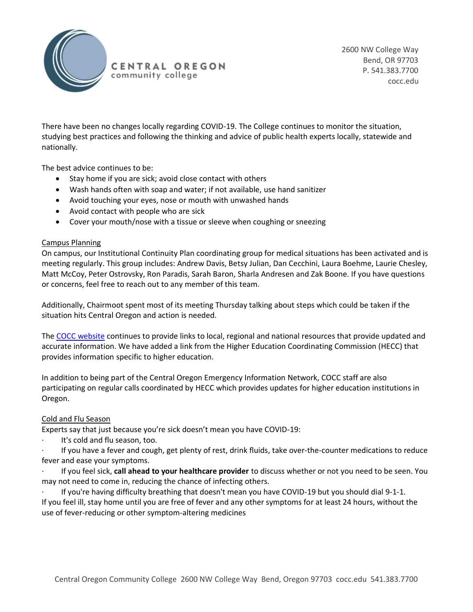

There have been no changes locally regarding COVID-19. The College continues to monitor the situation, studying best practices and following the thinking and advice of public health experts locally, statewide and nationally.

The best advice continues to be:

- Stay home if you are sick; avoid close contact with others
- Wash hands often with soap and water; if not available, use hand sanitizer
- Avoid touching your eyes, nose or mouth with unwashed hands
- Avoid contact with people who are sick
- Cover your mouth/nose with a tissue or sleeve when coughing or sneezing

## Campus Planning

On campus, our Institutional Continuity Plan coordinating group for medical situations has been activated and is meeting regularly. This group includes: Andrew Davis, Betsy Julian, Dan Cecchini, Laura Boehme, Laurie Chesley, Matt McCoy, Peter Ostrovsky, Ron Paradis, Sarah Baron, Sharla Andresen and Zak Boone. If you have questions or concerns, feel free to reach out to any member of this team.

Additionally, Chairmoot spent most of its meeting Thursday talking about steps which could be taken if the situation hits Central Oregon and action is needed.

The [COCC website](https://www.cocc.edu/news/coronavirus.aspx) continues to provide links to local, regional and national resources that provide updated and accurate information. We have added a link from the Higher Education Coordinating Commission (HECC) that provides information specific to higher education.

In addition to being part of the Central Oregon Emergency Information Network, COCC staff are also participating on regular calls coordinated by HECC which provides updates for higher education institutions in Oregon.

## Cold and Flu Season

Experts say that just because you're sick doesn't mean you have COVID-19:

It's cold and flu season, too.

· If you have a fever and cough, get plenty of rest, drink fluids, take over-the-counter medications to reduce fever and ease your symptoms.

· If you feel sick, **call ahead to your healthcare provider** to discuss whether or not you need to be seen. You may not need to come in, reducing the chance of infecting others.

· If you're having difficulty breathing that doesn't mean you have COVID-19 but you should dial 9-1-1. If you feel ill, stay home until you are free of fever and any other symptoms for at least 24 hours, without the use of fever-reducing or other symptom-altering medicines